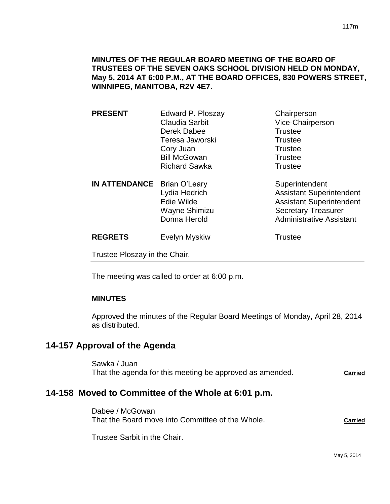## **MINUTES OF THE REGULAR BOARD MEETING OF THE BOARD OF TRUSTEES OF THE SEVEN OAKS SCHOOL DIVISION HELD ON MONDAY, May 5, 2014 AT 6:00 P.M., AT THE BOARD OFFICES, 830 POWERS STREET, WINNIPEG, MANITOBA, R2V 4E7.**

| <b>PRESENT</b>                | Edward P. Ploszay                                                                    | Chairperson                                                                                                                                    |
|-------------------------------|--------------------------------------------------------------------------------------|------------------------------------------------------------------------------------------------------------------------------------------------|
|                               | Claudia Sarbit                                                                       | Vice-Chairperson                                                                                                                               |
|                               | Derek Dabee                                                                          | <b>Trustee</b>                                                                                                                                 |
|                               | Teresa Jaworski                                                                      | <b>Trustee</b>                                                                                                                                 |
|                               | Cory Juan                                                                            | <b>Trustee</b>                                                                                                                                 |
|                               | <b>Bill McGowan</b>                                                                  | <b>Trustee</b>                                                                                                                                 |
|                               | <b>Richard Sawka</b>                                                                 | <b>Trustee</b>                                                                                                                                 |
| <b>IN ATTENDANCE</b>          | <b>Brian O'Leary</b><br>Lydia Hedrich<br>Edie Wilde<br>Wayne Shimizu<br>Donna Herold | Superintendent<br><b>Assistant Superintendent</b><br><b>Assistant Superintendent</b><br>Secretary-Treasurer<br><b>Administrative Assistant</b> |
| <b>REGRETS</b>                | Evelyn Myskiw                                                                        | <b>Trustee</b>                                                                                                                                 |
| Trustee Ploszay in the Chair. |                                                                                      |                                                                                                                                                |
|                               |                                                                                      |                                                                                                                                                |

The meeting was called to order at 6:00 p.m.

## **MINUTES**

Approved the minutes of the Regular Board Meetings of Monday, April 28, 2014 as distributed.

# **14-157 Approval of the Agenda**

Sawka / Juan That the agenda for this meeting be approved as amended. **Carried**

# **14-158 Moved to Committee of the Whole at 6:01 p.m.**

Dabee / McGowan That the Board move into Committee of the Whole. **Carried**

Trustee Sarbit in the Chair.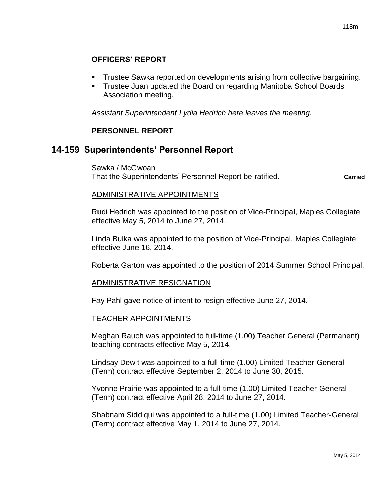# **OFFICERS' REPORT**

- Trustee Sawka reported on developments arising from collective bargaining.
- **Trustee Juan updated the Board on regarding Manitoba School Boards** Association meeting.

*Assistant Superintendent Lydia Hedrich here leaves the meeting.*

## **PERSONNEL REPORT**

# **14-159 Superintendents' Personnel Report**

Sawka / McGwoan That the Superintendents' Personnel Report be ratified. **Carried** Carried

## ADMINISTRATIVE APPOINTMENTS

Rudi Hedrich was appointed to the position of Vice-Principal, Maples Collegiate effective May 5, 2014 to June 27, 2014.

Linda Bulka was appointed to the position of Vice-Principal, Maples Collegiate effective June 16, 2014.

Roberta Garton was appointed to the position of 2014 Summer School Principal.

## ADMINISTRATIVE RESIGNATION

Fay Pahl gave notice of intent to resign effective June 27, 2014.

#### TEACHER APPOINTMENTS

Meghan Rauch was appointed to full-time (1.00) Teacher General (Permanent) teaching contracts effective May 5, 2014.

Lindsay Dewit was appointed to a full-time (1.00) Limited Teacher-General (Term) contract effective September 2, 2014 to June 30, 2015.

Yvonne Prairie was appointed to a full-time (1.00) Limited Teacher-General (Term) contract effective April 28, 2014 to June 27, 2014.

Shabnam Siddiqui was appointed to a full-time (1.00) Limited Teacher-General (Term) contract effective May 1, 2014 to June 27, 2014.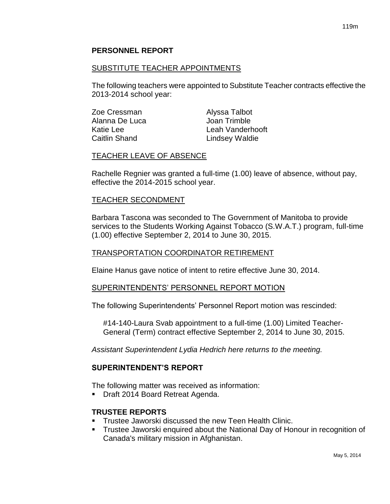## **PERSONNEL REPORT**

## SUBSTITUTE TEACHER APPOINTMENTS

The following teachers were appointed to Substitute Teacher contracts effective the 2013-2014 school year:

| Zoe Cressman   | Alyssa Talbot    |
|----------------|------------------|
| Alanna De Luca | Joan Trimble     |
| Katie Lee      | Leah Vanderhooft |
| Caitlin Shand  | Lindsey Waldie   |

#### TEACHER LEAVE OF ABSENCE

Rachelle Regnier was granted a full-time (1.00) leave of absence, without pay, effective the 2014-2015 school year.

#### TEACHER SECONDMENT

Barbara Tascona was seconded to The Government of Manitoba to provide services to the Students Working Against Tobacco (S.W.A.T.) program, full-time (1.00) effective September 2, 2014 to June 30, 2015.

#### TRANSPORTATION COORDINATOR RETIREMENT

Elaine Hanus gave notice of intent to retire effective June 30, 2014.

#### SUPERINTENDENTS' PERSONNEL REPORT MOTION

The following Superintendents' Personnel Report motion was rescinded:

#14-140-Laura Svab appointment to a full-time (1.00) Limited Teacher-General (Term) contract effective September 2, 2014 to June 30, 2015.

*Assistant Superintendent Lydia Hedrich here returns to the meeting.*

## **SUPERINTENDENT'S REPORT**

The following matter was received as information:

■ Draft 2014 Board Retreat Agenda.

#### **TRUSTEE REPORTS**

- **Trustee Jaworski discussed the new Teen Health Clinic.**
- Trustee Jaworski enquired about the National Day of Honour in recognition of Canada's military mission in Afghanistan.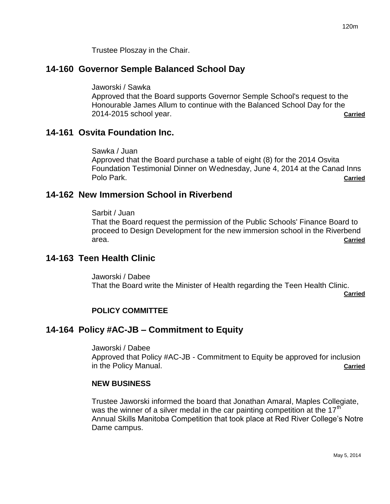Trustee Ploszay in the Chair.

# **14-160 Governor Semple Balanced School Day**

Jaworski / Sawka

Approved that the Board supports Governor Semple School's request to the Honourable James Allum to continue with the Balanced School Day for the 2014-2015 school year. **Carried**

# **14-161 Osvita Foundation Inc.**

Sawka / Juan

Approved that the Board purchase a table of eight (8) for the 2014 Osvita Foundation Testimonial Dinner on Wednesday, June 4, 2014 at the Canad Inns Polo Park. **Carried**

# **14-162 New Immersion School in Riverbend**

Sarbit / Juan That the Board request the permission of the Public Schools' Finance Board to proceed to Design Development for the new immersion school in the Riverbend area. **Carried**

# **14-163 Teen Health Clinic**

Jaworski / Dabee That the Board write the Minister of Health regarding the Teen Health Clinic.

**Carried**

# **POLICY COMMITTEE**

# **14-164 Policy #AC-JB – Commitment to Equity**

Jaworski / Dabee Approved that Policy #AC-JB - Commitment to Equity be approved for inclusion in the Policy Manual. **Carried**

## **NEW BUSINESS**

Trustee Jaworski informed the board that Jonathan Amaral, Maples Collegiate, was the winner of a silver medal in the car painting competition at the  $17<sup>th</sup>$ Annual Skills Manitoba Competition that took place at Red River College's Notre Dame campus.